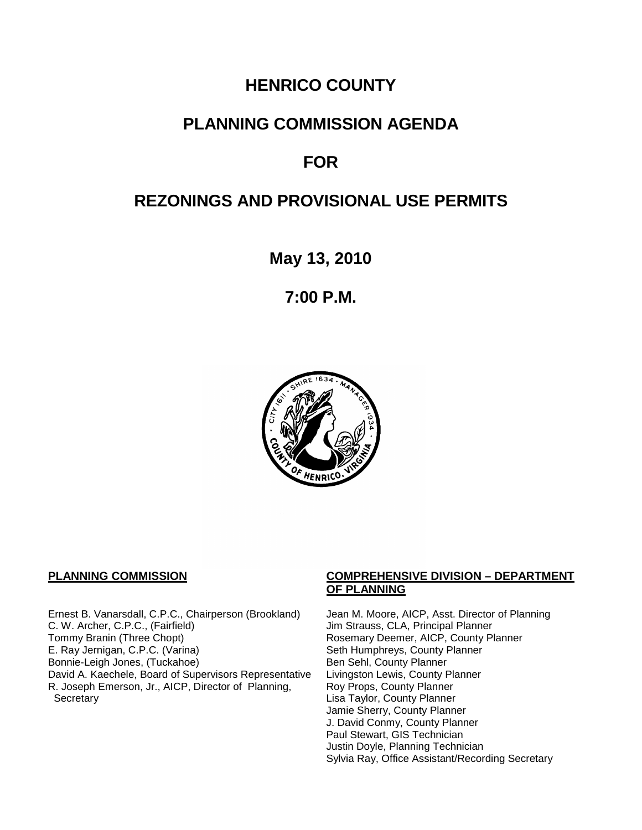# **HENRICO COUNTY**

# **PLANNING COMMISSION AGENDA**

# **FOR**

# **REZONINGS AND PROVISIONAL USE PERMITS**

**May 13, 2010**

**7:00 P.M.**



Ernest B. Vanarsdall, C.P.C., Chairperson (Brookland) Jean M. Moore, AICP, Asst. Director of Planning C. W. Archer, C.P.C., (Fairfield) Jim Strauss, CLA, Principal Planner C. W. Archer, C.P.C., (Fairfield) Jim Strauss, CLA, Principal Planner<br>Tommy Branin (Three Chopt) Strauss, CLA, Principal Planner E. Ray Jernigan, C.P.C. (Varina) Seth Humphreys, County Planner<br>Bonnie-Leigh Jones, (Tuckahoe) Sen Sehl, County Planner Bonnie-Leigh Jones, (Tuckahoe)<br>David A. Kaechele, Board of Supervisors Representative Livingston Lewis, County Planner David A. Kaechele, Board of Supervisors Representative R. Joseph Emerson, Jr., AICP, Director of Planning, **Secretary** 

## **PLANNING COMMISSION COMPREHENSIVE DIVISION – DEPARTMENT OF PLANNING**

Rosemary Deemer, AICP, County Planner Roy Props, County Planner Lisa Taylor, County Planner Jamie Sherry, County Planner J. David Conmy, County Planner Paul Stewart, GIS Technician Justin Doyle, Planning Technician Sylvia Ray, Office Assistant/Recording Secretary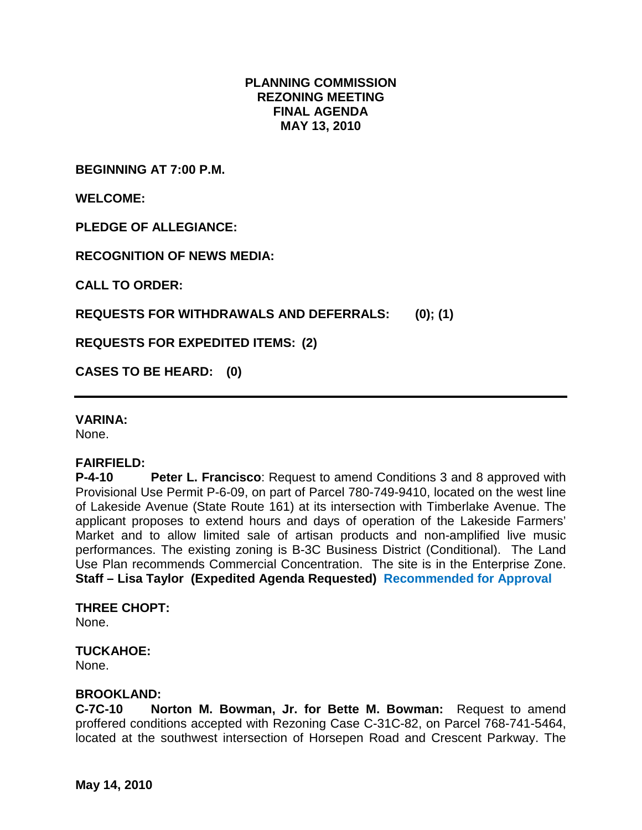# **PLANNING COMMISSION REZONING MEETING FINAL AGENDA MAY 13, 2010**

**BEGINNING AT 7:00 P.M.**

**WELCOME:**

**PLEDGE OF ALLEGIANCE:**

**RECOGNITION OF NEWS MEDIA:**

**CALL TO ORDER:**

**REQUESTS FOR WITHDRAWALS AND DEFERRALS: (0); (1)**

**REQUESTS FOR EXPEDITED ITEMS: (2)**

**CASES TO BE HEARD: (0)**

## **VARINA:**

None.

## **FAIRFIELD:**

**P-4-10 Peter L. Francisco**: Request to amend Conditions 3 and 8 approved with Provisional Use Permit P-6-09, on part of Parcel 780-749-9410, located on the west line of Lakeside Avenue (State Route 161) at its intersection with Timberlake Avenue. The applicant proposes to extend hours and days of operation of the Lakeside Farmers' Market and to allow limited sale of artisan products and non-amplified live music performances. The existing zoning is B-3C Business District (Conditional). The Land Use Plan recommends Commercial Concentration. The site is in the Enterprise Zone. **Staff – Lisa Taylor (Expedited Agenda Requested) Recommended for Approval**

**THREE CHOPT:** None.

## **TUCKAHOE:**

None.

### **BROOKLAND:**

**C-7C-10 Norton M. Bowman, Jr. for Bette M. Bowman:** Request to amend proffered conditions accepted with Rezoning Case C-31C-82, on Parcel 768-741-5464, located at the southwest intersection of Horsepen Road and Crescent Parkway. The